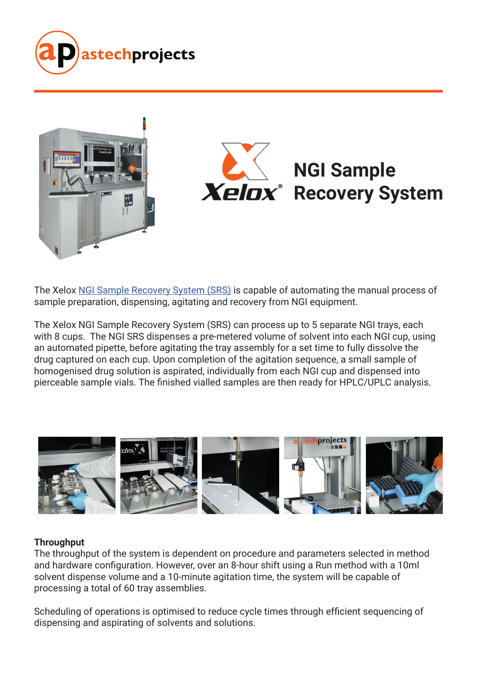



The Xelox [NGI Sample Recovery System \(SRS\)](https://www.astechprojects.co.uk/drug-delivery-automation/recovery-from-ngi-plates) is capable of automating the manual process of sample preparation, dispensing, agitating and recovery from NGI equipment.

The Xelox NGI Sample Recovery System (SRS) can process up to 5 separate NGI trays, each with 8 cups. The NGI SRS dispenses a pre-metered volume of solvent into each NGI cup, using an automated pipette, before agitating the tray assembly for a set time to fully dissolve the drug captured on each cup. Upon completion of the agitation sequence, a small sample of homogenised drug solution is aspirated, individually from each NGI cup and dispensed into pierceable sample vials. The finished vialled samples are then ready for HPLC/UPLC analysis.



#### **Throughput**

The throughput of the system is dependent on procedure and parameters selected in method and hardware configuration. However, over an 8-hour shift using a Run method with a 10ml solvent dispense volume and a 10-minute agitation time, the system will be capable of processing a total of 60 tray assemblies.

Scheduling of operations is optimised to reduce cycle times through efficient sequencing of dispensing and aspirating of solvents and solutions.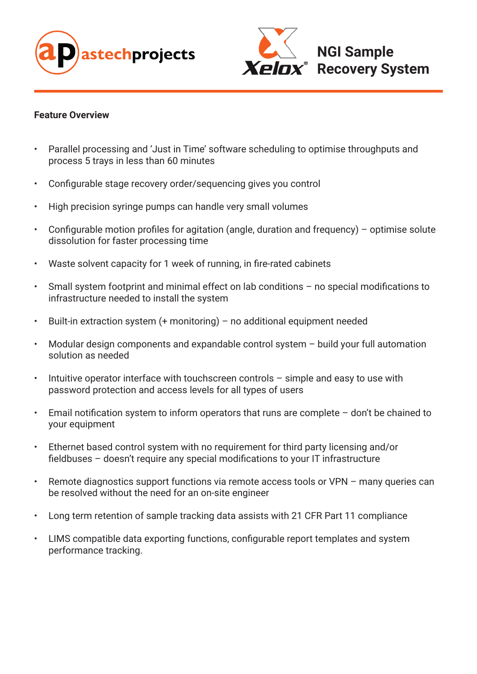



#### **Feature Overview**

- Parallel processing and 'Just in Time' software scheduling to optimise throughputs and process 5 trays in less than 60 minutes
- Configurable stage recovery order/sequencing gives you control
- High precision syringe pumps can handle very small volumes
- Configurable motion profiles for agitation (angle, duration and frequency) optimise solute dissolution for faster processing time
- Waste solvent capacity for 1 week of running, in fire-rated cabinets
- Small system footprint and minimal effect on lab conditions no special modifications to infrastructure needed to install the system
- Built-in extraction system (+ monitoring) no additional equipment needed
- Modular design components and expandable control system  $-$  build your full automation solution as needed
- Intuitive operator interface with touchscreen controls simple and easy to use with password protection and access levels for all types of users
- Email notification system to inform operators that runs are complete  $-$  don't be chained to your equipment
- Ethernet based control system with no requirement for third party licensing and/or fieldbuses – doesn't require any special modifications to your IT infrastructure
- Remote diagnostics support functions via remote access tools or VPN many queries can be resolved without the need for an on-site engineer
- Long term retention of sample tracking data assists with 21 CFR Part 11 compliance
- LIMS compatible data exporting functions, configurable report templates and system performance tracking.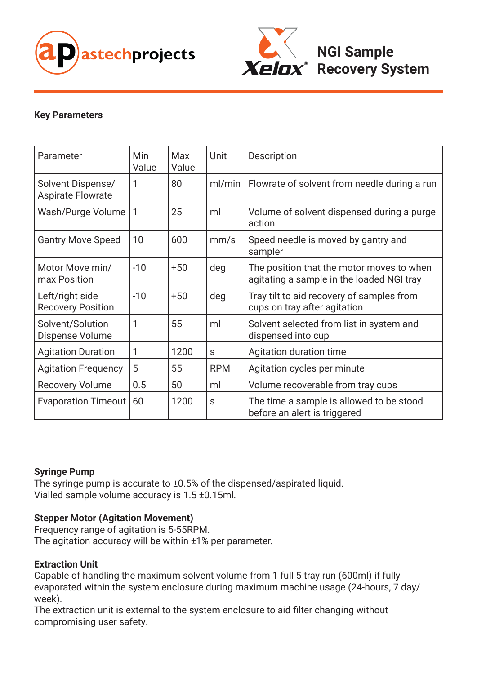



# **Key Parameters**

| Parameter                                     | <b>Min</b><br>Value | Max<br>Value | Unit       | <b>Description</b>                                                                     |
|-----------------------------------------------|---------------------|--------------|------------|----------------------------------------------------------------------------------------|
| Solvent Dispense/<br><b>Aspirate Flowrate</b> | 1                   | 80           | ml/min     | Flowrate of solvent from needle during a run                                           |
| Wash/Purge Volume                             | $\mathbf{1}$        | 25           | ml         | Volume of solvent dispensed during a purge<br>action                                   |
| <b>Gantry Move Speed</b>                      | 10                  | 600          | mm/s       | Speed needle is moved by gantry and<br>sampler                                         |
| Motor Move min/<br>max Position               | $-10$               | $+50$        | deg        | The position that the motor moves to when<br>agitating a sample in the loaded NGI tray |
| Left/right side<br><b>Recovery Position</b>   | $-10$               | $+50$        | deg        | Tray tilt to aid recovery of samples from<br>cups on tray after agitation              |
| Solvent/Solution<br>Dispense Volume           | 1                   | 55           | ml         | Solvent selected from list in system and<br>dispensed into cup                         |
| <b>Agitation Duration</b>                     | 1                   | 1200         | S          | Agitation duration time                                                                |
| <b>Agitation Frequency</b>                    | 5                   | 55           | <b>RPM</b> | Agitation cycles per minute                                                            |
| <b>Recovery Volume</b>                        | 0.5                 | 50           | ml         | Volume recoverable from tray cups                                                      |
| <b>Evaporation Timeout</b>                    | 60                  | 1200         | S          | The time a sample is allowed to be stood<br>before an alert is triggered               |

# **Syringe Pump**

The syringe pump is accurate to ±0.5% of the dispensed/aspirated liquid. Vialled sample volume accuracy is 1.5 ±0.15ml.

# **Stepper Motor (Agitation Movement)**

Frequency range of agitation is 5-55RPM. The agitation accuracy will be within ±1% per parameter.

#### **Extraction Unit**

Capable of handling the maximum solvent volume from 1 full 5 tray run (600ml) if fully evaporated within the system enclosure during maximum machine usage (24-hours, 7 day/ week).

The extraction unit is external to the system enclosure to aid filter changing without compromising user safety.